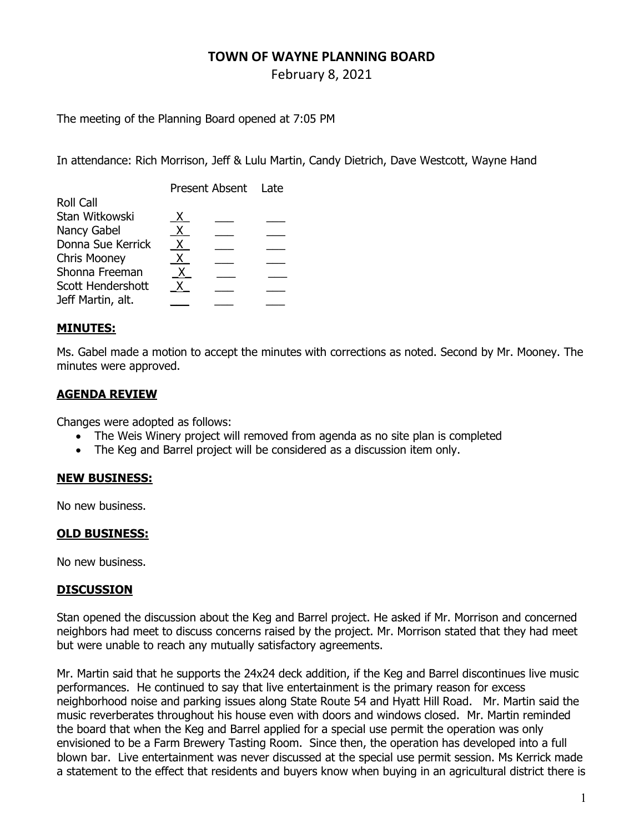# TOWN OF WAYNE PLANNING BOARD

February 8, 2021

The meeting of the Planning Board opened at 7:05 PM

In attendance: Rich Morrison, Jeff & Lulu Martin, Candy Dietrich, Dave Westcott, Wayne Hand

|                     | Present Absent Late |  |  |
|---------------------|---------------------|--|--|
| <b>Roll Call</b>    |                     |  |  |
| Stan Witkowski      | X.                  |  |  |
| Nancy Gabel         | X.                  |  |  |
| Donna Sue Kerrick   | X.                  |  |  |
| <b>Chris Mooney</b> | Χ.                  |  |  |
| Shonna Freeman      | x.                  |  |  |
| Scott Hendershott   | x.                  |  |  |
| Jeff Martin, alt.   |                     |  |  |
|                     |                     |  |  |

### MINUTES:

Ms. Gabel made a motion to accept the minutes with corrections as noted. Second by Mr. Mooney. The minutes were approved.

## AGENDA REVIEW

Changes were adopted as follows:

- The Weis Winery project will removed from agenda as no site plan is completed
- The Keg and Barrel project will be considered as a discussion item only.

### NEW BUSINESS:

No new business.

#### OLD BUSINESS:

No new business.

#### **DISCUSSION**

Stan opened the discussion about the Keg and Barrel project. He asked if Mr. Morrison and concerned neighbors had meet to discuss concerns raised by the project. Mr. Morrison stated that they had meet but were unable to reach any mutually satisfactory agreements.

Mr. Martin said that he supports the 24x24 deck addition, if the Keg and Barrel discontinues live music performances. He continued to say that live entertainment is the primary reason for excess neighborhood noise and parking issues along State Route 54 and Hyatt Hill Road. Mr. Martin said the music reverberates throughout his house even with doors and windows closed. Mr. Martin reminded the board that when the Keg and Barrel applied for a special use permit the operation was only envisioned to be a Farm Brewery Tasting Room. Since then, the operation has developed into a full blown bar. Live entertainment was never discussed at the special use permit session. Ms Kerrick made a statement to the effect that residents and buyers know when buying in an agricultural district there is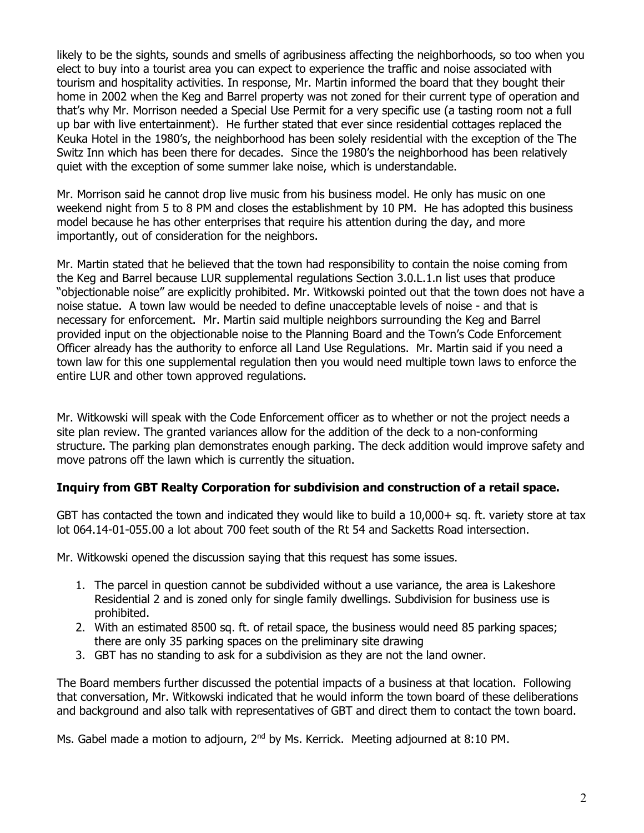likely to be the sights, sounds and smells of agribusiness affecting the neighborhoods, so too when you elect to buy into a tourist area you can expect to experience the traffic and noise associated with tourism and hospitality activities. In response, Mr. Martin informed the board that they bought their home in 2002 when the Keg and Barrel property was not zoned for their current type of operation and that's why Mr. Morrison needed a Special Use Permit for a very specific use (a tasting room not a full up bar with live entertainment). He further stated that ever since residential cottages replaced the Keuka Hotel in the 1980's, the neighborhood has been solely residential with the exception of the The Switz Inn which has been there for decades. Since the 1980's the neighborhood has been relatively quiet with the exception of some summer lake noise, which is understandable.

Mr. Morrison said he cannot drop live music from his business model. He only has music on one weekend night from 5 to 8 PM and closes the establishment by 10 PM. He has adopted this business model because he has other enterprises that require his attention during the day, and more importantly, out of consideration for the neighbors.

Mr. Martin stated that he believed that the town had responsibility to contain the noise coming from the Keg and Barrel because LUR supplemental regulations Section 3.0.L.1.n list uses that produce "objectionable noise" are explicitly prohibited. Mr. Witkowski pointed out that the town does not have a noise statue. A town law would be needed to define unacceptable levels of noise - and that is necessary for enforcement. Mr. Martin said multiple neighbors surrounding the Keg and Barrel provided input on the objectionable noise to the Planning Board and the Town's Code Enforcement Officer already has the authority to enforce all Land Use Regulations. Mr. Martin said if you need a town law for this one supplemental regulation then you would need multiple town laws to enforce the entire LUR and other town approved regulations.

Mr. Witkowski will speak with the Code Enforcement officer as to whether or not the project needs a site plan review. The granted variances allow for the addition of the deck to a non-conforming structure. The parking plan demonstrates enough parking. The deck addition would improve safety and move patrons off the lawn which is currently the situation.

### Inquiry from GBT Realty Corporation for subdivision and construction of a retail space.

GBT has contacted the town and indicated they would like to build a 10,000+ sq. ft. variety store at tax lot 064.14-01-055.00 a lot about 700 feet south of the Rt 54 and Sacketts Road intersection.

Mr. Witkowski opened the discussion saying that this request has some issues.

- 1. The parcel in question cannot be subdivided without a use variance, the area is Lakeshore Residential 2 and is zoned only for single family dwellings. Subdivision for business use is prohibited.
- 2. With an estimated 8500 sq. ft. of retail space, the business would need 85 parking spaces; there are only 35 parking spaces on the preliminary site drawing
- 3. GBT has no standing to ask for a subdivision as they are not the land owner.

The Board members further discussed the potential impacts of a business at that location. Following that conversation, Mr. Witkowski indicated that he would inform the town board of these deliberations and background and also talk with representatives of GBT and direct them to contact the town board.

Ms. Gabel made a motion to adjourn, 2<sup>nd</sup> by Ms. Kerrick. Meeting adjourned at 8:10 PM.